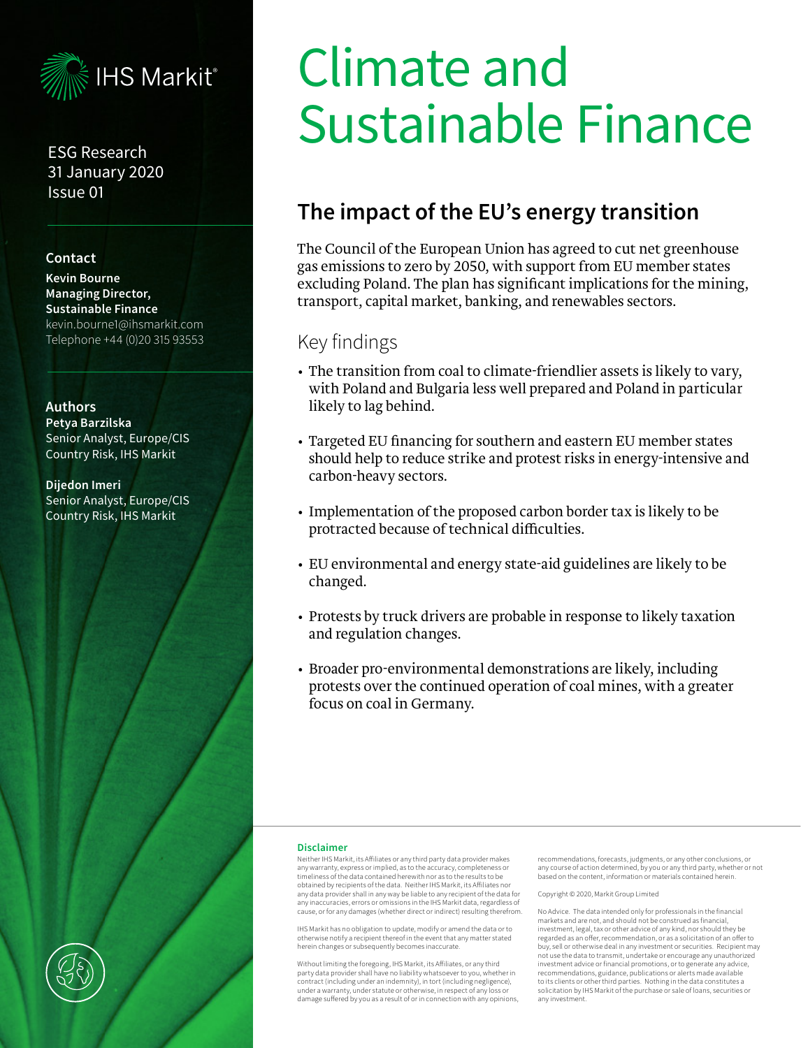

ESG Research 31 January 2020 Issue 01

#### **Contact**

**Kevin Bourne Managing Director, Sustainable Finance** kevin.bourne1@ihsmarkit.com Telephone +44 (0)20 315 93553

#### **Authors**

**Petya Barzilska**  Senior Analyst, Europe/CIS Country Risk, IHS Markit

**Dijedon Imeri**  Senior Analyst, Europe/CIS Country Risk, IHS Markit

# Climate and Sustainable Finance

# **The impact of the EU's energy transition**

The Council of the European Union has agreed to cut net greenhouse gas emissions to zero by 2050, with support from EU member states excluding Poland. The plan has significant implications for the mining, transport, capital market, banking, and renewables sectors.

## Key findings

- The transition from coal to climate-friendlier assets is likely to vary, with Poland and Bulgaria less well prepared and Poland in particular likely to lag behind.
- Targeted EU financing for southern and eastern EU member states should help to reduce strike and protest risks in energy-intensive and carbon-heavy sectors.
- Implementation of the proposed carbon border tax is likely to be protracted because of technical difficulties.
- EU environmental and energy state-aid guidelines are likely to be changed.
- Protests by truck drivers are probable in response to likely taxation and regulation changes.
- Broader pro-environmental demonstrations are likely, including protests over the continued operation of coal mines, with a greater focus on coal in Germany.

#### **Disclaimer**

Neither IHS Markit, its Affiliates or any third party data provider makes any warranty, express or implied, as to the accuracy, completeness or timeliness of the data contained herewith nor as to the results to be obtained by recipients of the data. Neither IHS Markit, its Affiliates nor any data provider shall in any way be liable to any recipient of the data for any inaccuracies, errors or omissions in the IHS Markit data, regardless of cause, or for any damages (whether direct or indirect) resulting therefrom.

IHS Markit has no obligation to update, modify or amend the data or to otherwise notify a recipient thereof in the event that any matter stated herein changes or subsequently becomes inaccurate.

Without limiting the foregoing, IHS Markit, its Affiliates, or any third party data provider shall have no liability whatsoever to you, whether in contract (including under an indemnity), in tort (including negligence), under a warranty, under statute or otherwise, in respect of any loss or damage suffered by you as a result of or in connection with any opinions,

recommendations, forecasts, judgments, or any other conclusions, or any course of action determined, by you or any third party, whether or not based on the content, information or materials contained herein.

#### Copyright © 2020, Markit Group Limited

No Advice. The data intended only for professionals in the financial markets and are not, and should not be construed as financial, investment, legal, tax or other advice of any kind, nor should they be regarded as an offer, recommendation, or as a solicitation of an offer to buy, sell or otherwise deal in any investment or securities. Recipient may not use the data to transmit, undertake or encourage any unauthorized investment advice or financial promotions, or to generate any advice, recommendations, guidance, publications or alerts made available to its clients or other third parties. Nothing in the data constitutes a solicitation by IHS Markit of the purchase or sale of loans, securities or any investment.

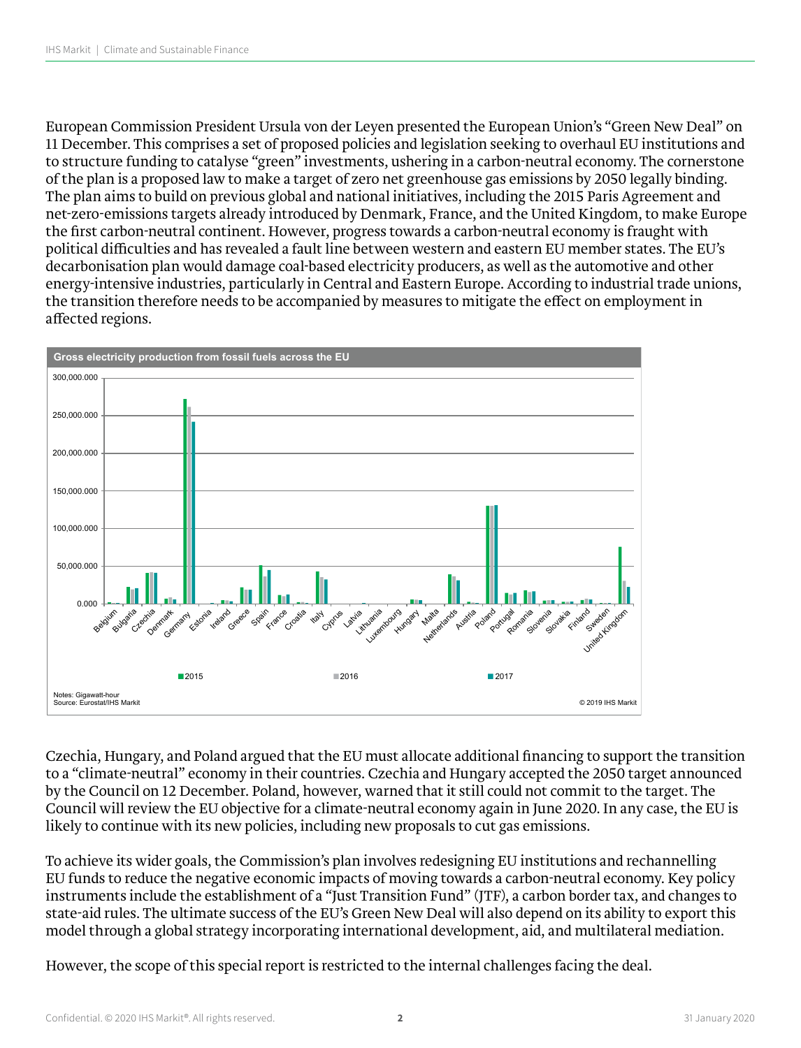European Commission President Ursula von der Leyen presented the European Union's "Green New Deal" on 11 December. This comprises a set of proposed policies and legislation seeking to overhaul EU institutions and to structure funding to catalyse "green" investments, ushering in a carbon-neutral economy. The cornerstone of the plan is a proposed law to make a target of zero net greenhouse gas emissions by 2050 legally binding. The plan aims to build on previous global and national initiatives, including the 2015 Paris Agreement and rne plan anns to bund on previous global and national initiatives, including the 2013 Paris Agreement and<br>net-zero-emissions targets already introduced by Denmark, France, and the United Kingdom, to make Europe the first carbon-neutral continent. However, progress towards a carbon-neutral economy is fraught with political difficulties and has revealed a fault line between western and eastern EU member states. The EU's decarbonisation plan would damage coal-based electricity producers, as well as the automotive and other energy-intensive industries, particularly in Central and Eastern Europe. According to industrial trade unions, energy-intensive industries, particularly in Gentral and Eastern Europe. According to industrial trade di<br>the transition therefore needs to be accompanied by measures to mitigate the effect on employment in and changes one controlled



Czechia, Hungary, and Poland argued that the EU must allocate additional financing to support the transition to a "climate-neutral" economy in their countries. Czechia and Hungary accepted the 2050 target announced by the Council on 12 December. Poland, however, warned that it still could not commit to the target. The  $\tilde{E}$ Council will review the EU objective for a climate-neutral economy again in June 2020. In any case, the EU is counter will review the EO objective for a chillate heutral economy again in June 2020. In<br>likely to continue with its new policies, including new proposals to cut gas emissions. and Eastern Europe. According to industrial trade unions, the transition therefore needs to be accompanied by

To achieve its wider goals, the Commission's plan involves redesigning EU institutions and rechannelling in a f<br>EXEC on the effective on the effective on the effective regions. EU funds to reduce the negative economic impacts of moving towards a carbon-neutral economy. Key policy instruments include the establishment of a "Just Transition Fund" (JTF), a carbon border tax, and changes to state-aid rules. The ultimate success of the EU's Green New Deal will also depend on its ability to export this model through a global strategy incorporating international development, aid, and multilateral mediation.

However, the scope of this special report is restricted to the internal challenges facing the deal.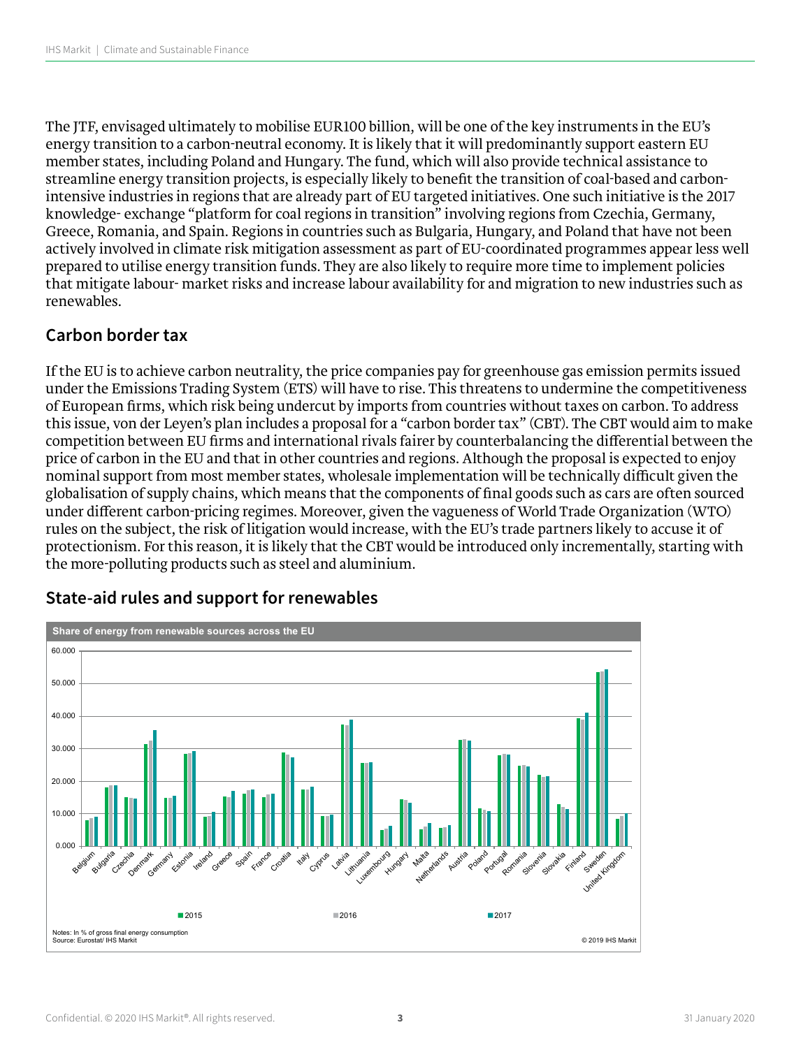The JTF, envisaged ultimately to mobilise EUR100 billion, will be one of the key instruments in the EU's energy transition to a carbon-neutral economy. It is likely that it will predominantly support eastern EU member states, including Poland and Hungary. The fund, which will also provide technical assistance to streamline energy transition projects, is especially likely to benefit the transition of coal-based and carbonintensive industries in regions that are already part of EU targeted initiatives. One such initiative is the 2017 knowledge- exchange "platform for coal regions in transition" involving regions from Czechia, Germany, Greece, Romania, and Spain. Regions in countries such as Bulgaria, Hungary, and Poland that have not been actively involved in climate risk mitigation assessment as part of EU-coordinated programmes appear less well prepared to utilise energy transition funds. They are also likely to require more time to implement policies that mitigate labour- market risks and increase labour availability for and migration to new industries such as renewables.

#### **Carbon border tax**

If the EU is to achieve carbon neutrality, the price companies pay for greenhouse gas emission permits issued under the Emissions Trading System (ETS) will have to rise. This threatens to undermine the competitiveness of European firms, which risk being undercut by imports from countries without taxes on carbon. To address this issue, von der Leyen's plan includes a proposal for a "carbon border tax" (CBT). The CBT would aim to make competition between EU firms and international rivals fairer by counterbalancing the differential between the price of carbon in the EU and that in other countries and regions. Although the proposal is expected to enjoy nominal support from most member states, wholesale implementation will be technically difficult given the globalisation of supply chains, which means that the components of final goods such as cars are often sourced under different carbon-pricing regimes. Moreover, given the vagueness of World Trade Organization (WTO) rules on the subject, the risk of litigation would increase, with the EU's trade partners likely to accuse it of protectionism. For this reason, it is likely that the CBT would be introduced only incrementally, starting with the more-polluting products such as steel and aluminium.



#### **State-aid rules and support for renewables**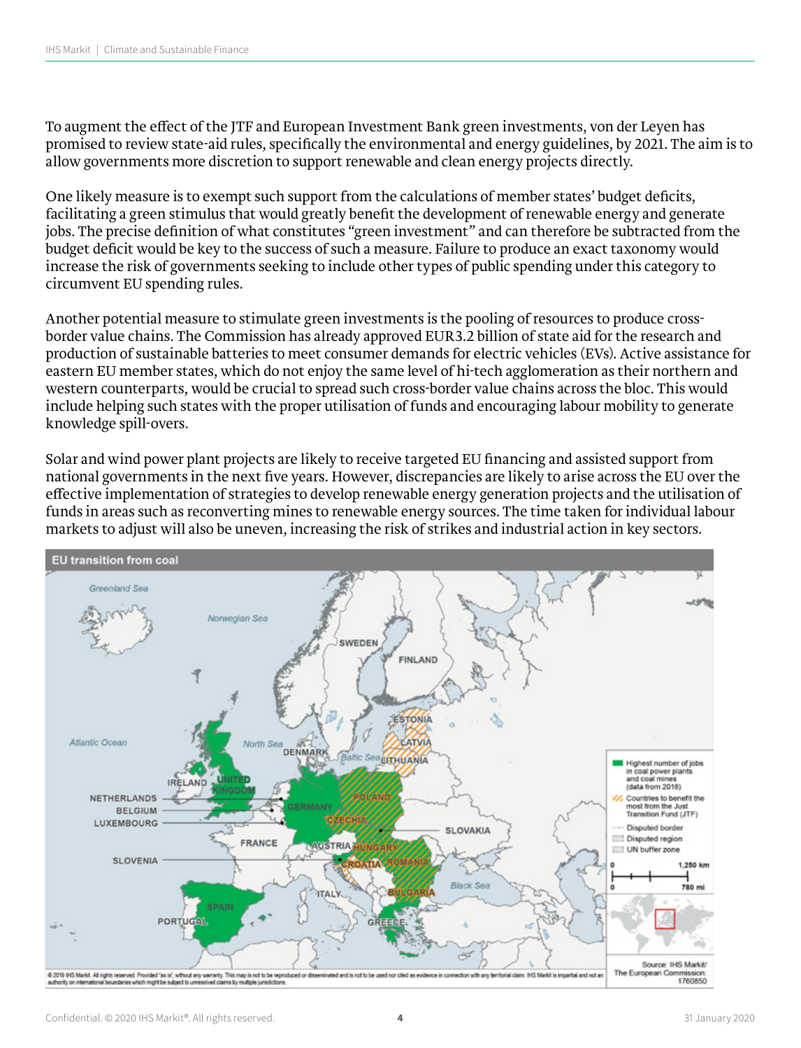To augment the effect of the JTF and European Investment Bank green investments, von der Leyen has promised to review state-aid rules, specifically the environmental and energy guidelines, by 2021. The aim is to allow governments more discretion to support renewable and clean energy projects directly.

One likely measure is to exempt such support from the calculations of member states' budget deficits, facilitating a green stimulus that would greatly benefit the development of renewable energy and generate jobs. The precise definition of what constitutes "green investment" and can therefore be subtracted from the budget deficit would be key to the success of such a measure. Failure to produce an exact taxonomy would increase the risk of governments seeking to include other types of public spending under this category to circumvent EU spending rules.

Another potential measure to stimulate green investments is the pooling of resources to produce crossborder value chains. The Commission has already approved EUR3.2 billion of state aid for the research and production of sustainable batteries to meet consumer demands for electric vehicles (EVs). Active assistance for eastern EU member states, which do not enjoy the same level of hi-tech agglomeration as their northern and western counterparts, would be crucial to spread such cross-border value chains across the bloc. This would include helping such states with the proper utilisation of funds and encouraging labour mobility to generate knowledge spill-overs.

Solar and wind power plant projects are likely to receive targeted EU financing and assisted support from national governments in the next five years. However, discrepancies are likely to arise across the EU over the effective implementation of strategies to develop renewable energy generation projects and the utilisation of funds in areas such as reconverting mines to renewable energy sources. The time taken for individual labour markets to adjust will also be uneven, increasing the risk of strikes and industrial action in key sectors.

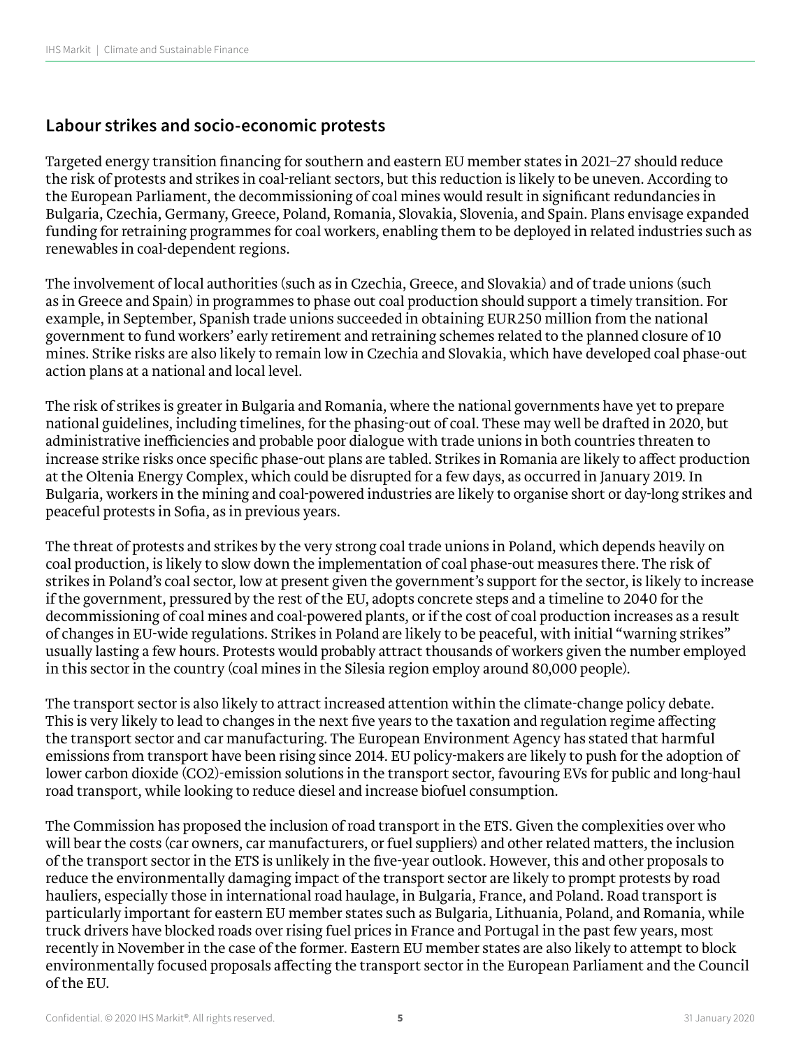#### **Labour strikes and socio-economic protests**

Targeted energy transition financing for southern and eastern EU member states in 2021–27 should reduce the risk of protests and strikes in coal-reliant sectors, but this reduction is likely to be uneven. According to the European Parliament, the decommissioning of coal mines would result in significant redundancies in Bulgaria, Czechia, Germany, Greece, Poland, Romania, Slovakia, Slovenia, and Spain. Plans envisage expanded funding for retraining programmes for coal workers, enabling them to be deployed in related industries such as renewables in coal-dependent regions.

The involvement of local authorities (such as in Czechia, Greece, and Slovakia) and of trade unions (such as in Greece and Spain) in programmes to phase out coal production should support a timely transition. For example, in September, Spanish trade unions succeeded in obtaining EUR250 million from the national government to fund workers' early retirement and retraining schemes related to the planned closure of 10 mines. Strike risks are also likely to remain low in Czechia and Slovakia, which have developed coal phase-out action plans at a national and local level.

The risk of strikes is greater in Bulgaria and Romania, where the national governments have yet to prepare national guidelines, including timelines, for the phasing-out of coal. These may well be drafted in 2020, but administrative inefficiencies and probable poor dialogue with trade unions in both countries threaten to increase strike risks once specific phase-out plans are tabled. Strikes in Romania are likely to affect production at the Oltenia Energy Complex, which could be disrupted for a few days, as occurred in January 2019. In Bulgaria, workers in the mining and coal-powered industries are likely to organise short or day-long strikes and peaceful protests in Sofia, as in previous years.

The threat of protests and strikes by the very strong coal trade unions in Poland, which depends heavily on coal production, is likely to slow down the implementation of coal phase-out measures there. The risk of strikes in Poland's coal sector, low at present given the government's support for the sector, is likely to increase if the government, pressured by the rest of the EU, adopts concrete steps and a timeline to 2040 for the decommissioning of coal mines and coal-powered plants, or if the cost of coal production increases as a result of changes in EU-wide regulations. Strikes in Poland are likely to be peaceful, with initial "warning strikes" usually lasting a few hours. Protests would probably attract thousands of workers given the number employed in this sector in the country (coal mines in the Silesia region employ around 80,000 people).

The transport sector is also likely to attract increased attention within the climate-change policy debate. This is very likely to lead to changes in the next five years to the taxation and regulation regime affecting the transport sector and car manufacturing. The European Environment Agency has stated that harmful emissions from transport have been rising since 2014. EU policy-makers are likely to push for the adoption of lower carbon dioxide (CO2)-emission solutions in the transport sector, favouring EVs for public and long-haul road transport, while looking to reduce diesel and increase biofuel consumption.

The Commission has proposed the inclusion of road transport in the ETS. Given the complexities over who will bear the costs (car owners, car manufacturers, or fuel suppliers) and other related matters, the inclusion of the transport sector in the ETS is unlikely in the five-year outlook. However, this and other proposals to reduce the environmentally damaging impact of the transport sector are likely to prompt protests by road hauliers, especially those in international road haulage, in Bulgaria, France, and Poland. Road transport is particularly important for eastern EU member states such as Bulgaria, Lithuania, Poland, and Romania, while truck drivers have blocked roads over rising fuel prices in France and Portugal in the past few years, most recently in November in the case of the former. Eastern EU member states are also likely to attempt to block environmentally focused proposals affecting the transport sector in the European Parliament and the Council of the EU.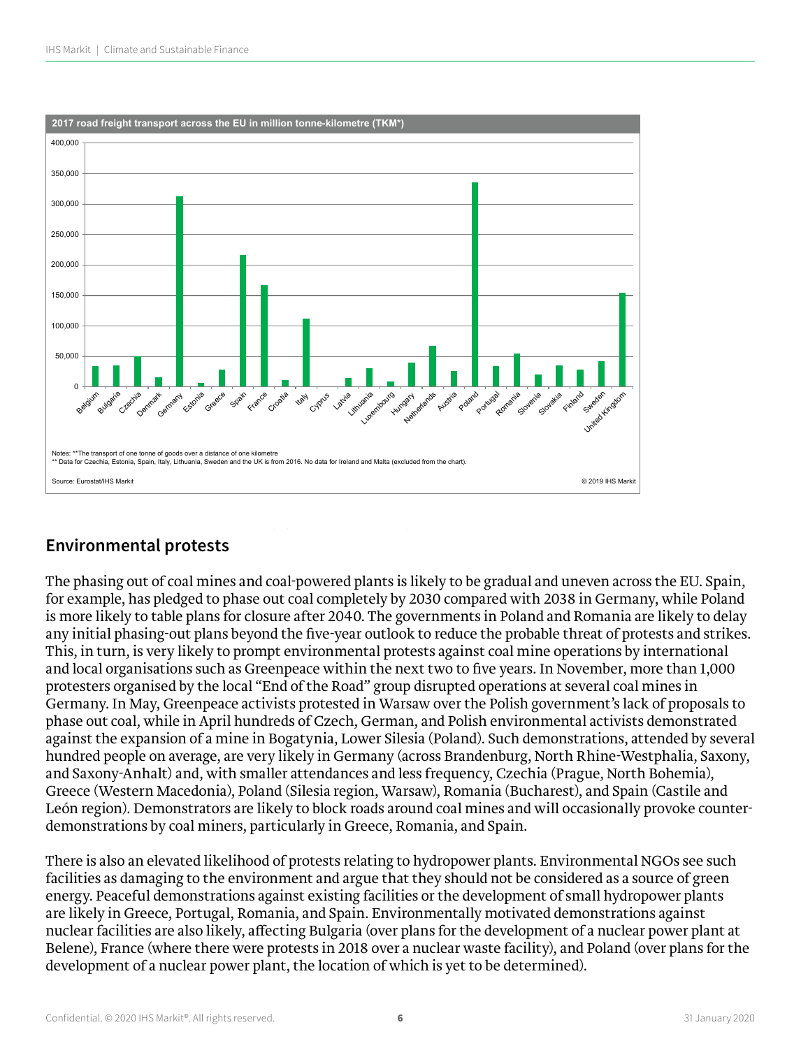

## **Polandish and Romania, which drivers have blocked roads over rising fuel prices in France and Portugal in France and Portugal in France and Portugal in France and Portugal in France and Portugal in France and Portugal in**

The phasing out of coal mines and coal-powered plants is likely to be gradual and uneven across the EU. Spain,<br>Case of the transport of the transport sector in the Case of the transport sector in the EU. Spain, for example, has pledged to phase out coal completely by 2030 compared with 2038 in Germany, while Poland is more likely to table plans for closure after 2040. The governments in Poland and Romania are likely to delay any initial phasing-out plans beyond the five-year outlook to reduce the probable threat of protests and strikes. This, in turn, is very likely to prompt environmental protests against coal mine operations by international and local organisations such as Greenpeace within the next two to five years. In November, more than 1,000 protesters organised by the local "End of the Road" group disrupted operations at several coal mines in Germany. In May, Greenpeace activists protested in Warsaw over the Polish government's lack of proposals to for example, has pledged to phase out coal completely by 2030 compared with 2038 in Germany, while Poland phase out coal, while in April hundreds of Czech, German, and Polish environmental activists demonstrated phase out coal, while in April numities of exectit, elemant, and Folish environmental activists demonstrated<br>against the expansion of a mine in Bogatynia, Lower Silesia (Poland). Such demonstrations, attended by several hundred people on average, are very likely in Germany (across Brandenburg, North Rhine-Westphalia, Saxony, and Saxony-Anhalt) and, with smaller attendances and less frequency, Czechia (Prague, North Bohemia), in this, in this very likely to prompt environmental protests and the coal mine operations by international and the coal Greece (Western Macedonia), Poland (Silesia region, Warsaw), Romania (Bucharest), and Spain (Castile and León region). Demonstrators are likely to block roads around coal mines and will occasionally provoke counterdemonstrations by coal miners, particularly in Greece, Romania, and Spain. the past few years, most recently in November in the case of the former. Eastern EU member states are also

> There is also an elevated likelihood of protests relating to hydropower plants. Environmental NGOs see such facilities as damaging to the environment and argue that they should not be considered as a source of green energy. Peaceful demonstrations against existing facilities or the development of small hydropower plants are likely in Greece, Portugal, Romania, and Spain. Environmentally motivated demonstrations against nuclear facilities are also likely, affecting Bulgaria (over plans for the development of a nuclear power plant at Belene), France (where there were protests in 2018 over a nuclear waste facility), and Poland (over plans for the development of a nuclear power plant, the location of which is yet to be determined).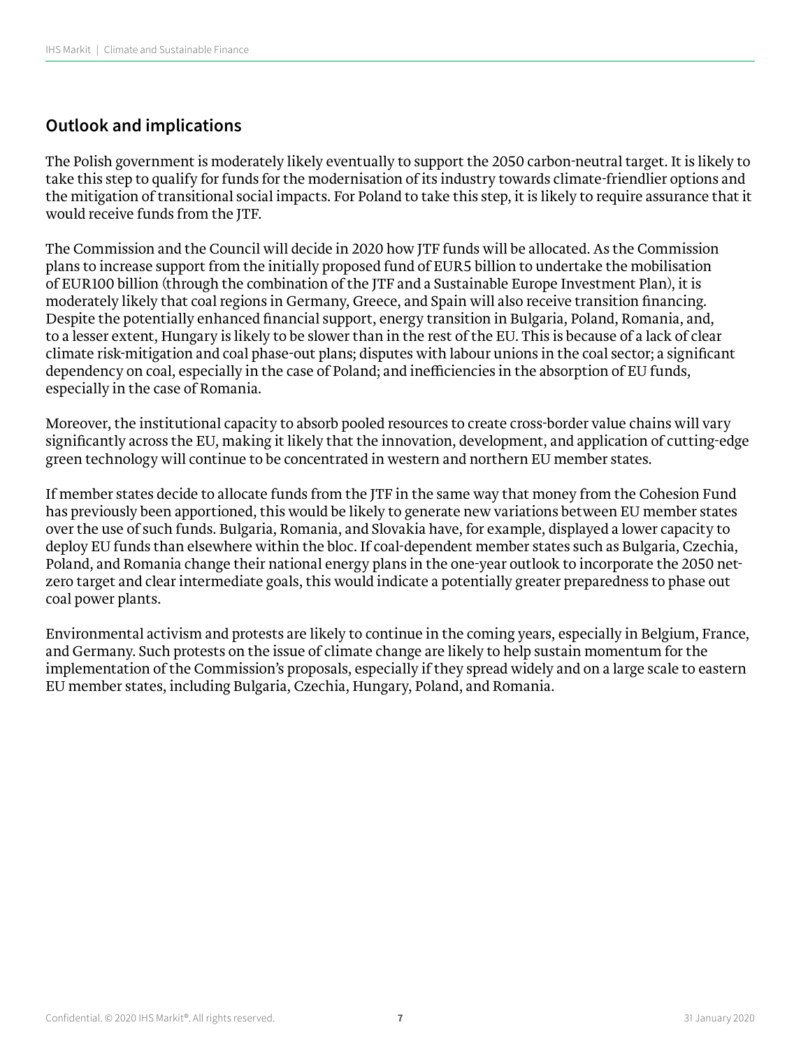### **Outlook and implications**

The Polish government is moderately likely eventually to support the 2050 carbon-neutral target. It is likely to take this step to qualify for funds for the modernisation of its industry towards climate-friendlier options and the mitigation of transitional social impacts. For Poland to take this step, it is likely to require assurance that it would receive funds from the JTF.

The Commission and the Council will decide in 2020 how JTF funds will be allocated. As the Commission plans to increase support from the initially proposed fund of EUR5 billion to undertake the mobilisation of EUR100 billion (through the combination of the JTF and a Sustainable Europe Investment Plan), it is moderately likely that coal regions in Germany, Greece, and Spain will also receive transition financing. Despite the potentially enhanced financial support, energy transition in Bulgaria, Poland, Romania, and, to a lesser extent, Hungary is likely to be slower than in the rest of the EU. This is because of a lack of clear climate risk-mitigation and coal phase-out plans; disputes with labour unions in the coal sector; a significant dependency on coal, especially in the case of Poland; and inefficiencies in the absorption of EU funds, especially in the case of Romania.

Moreover, the institutional capacity to absorb pooled resources to create cross-border value chains will vary significantly across the EU, making it likely that the innovation, development, and application of cutting-edge green technology will continue to be concentrated in western and northern EU member states.

If member states decide to allocate funds from the JTF in the same way that money from the Cohesion Fund has previously been apportioned, this would be likely to generate new variations between EU member states over the use of such funds. Bulgaria, Romania, and Slovakia have, for example, displayed a lower capacity to deploy EU funds than elsewhere within the bloc. If coal-dependent member states such as Bulgaria, Czechia, Poland, and Romania change their national energy plans in the one-year outlook to incorporate the 2050 netzero target and clear intermediate goals, this would indicate a potentially greater preparedness to phase out coal power plants.

Environmental activism and protests are likely to continue in the coming years, especially in Belgium, France, and Germany. Such protests on the issue of climate change are likely to help sustain momentum for the implementation of the Commission's proposals, especially if they spread widely and on a large scale to eastern EU member states, including Bulgaria, Czechia, Hungary, Poland, and Romania.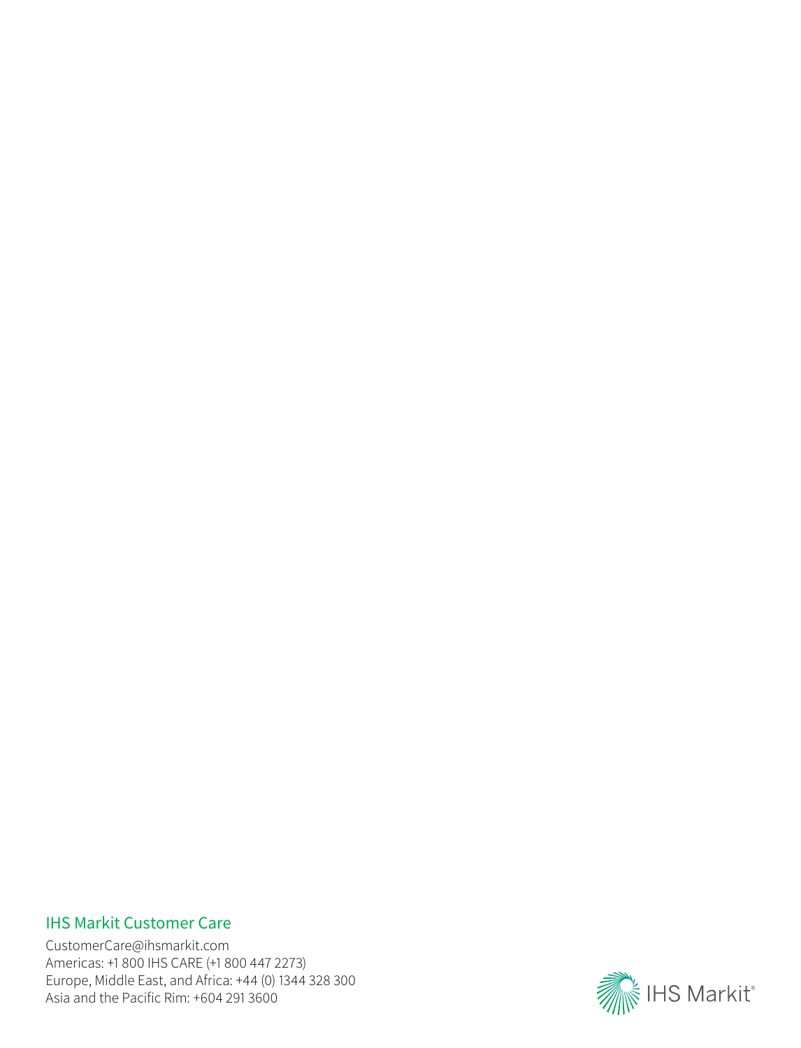## IHS Markit Customer Care

CustomerCare@ihsmarkit.com Americas: +1 800 IHS CARE (+1 800 447 2273) Europe, Middle East, and Africa: +44 (0) 1344 328 300 Asia and the Pacific Rim: +604 291 3600